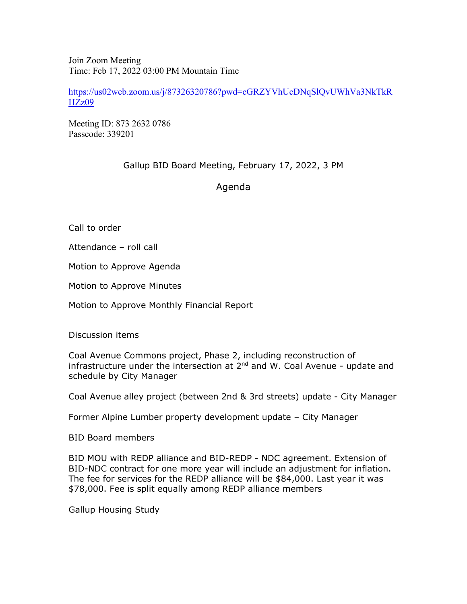Join Zoom Meeting Time: Feb 17, 2022 03:00 PM Mountain Time

https://us02web.zoom.us/j/87326320786?pwd=cGRZYVhUcDNqSlQvUWhVa3NkTkR HZz09

Meeting ID: 873 2632 0786 Passcode: 339201

## Gallup BID Board Meeting, February 17, 2022, 3 PM

## Agenda

Call to order

Attendance – roll call

Motion to Approve Agenda

Motion to Approve Minutes

Motion to Approve Monthly Financial Report

Discussion items

Coal Avenue Commons project, Phase 2, including reconstruction of infrastructure under the intersection at  $2<sup>nd</sup>$  and W. Coal Avenue - update and schedule by City Manager

Coal Avenue alley project (between 2nd & 3rd streets) update - City Manager

Former Alpine Lumber property development update – City Manager

BID Board members

BID MOU with REDP alliance and BID-REDP - NDC agreement. Extension of BID-NDC contract for one more year will include an adjustment for inflation. The fee for services for the REDP alliance will be \$84,000. Last year it was \$78,000. Fee is split equally among REDP alliance members

Gallup Housing Study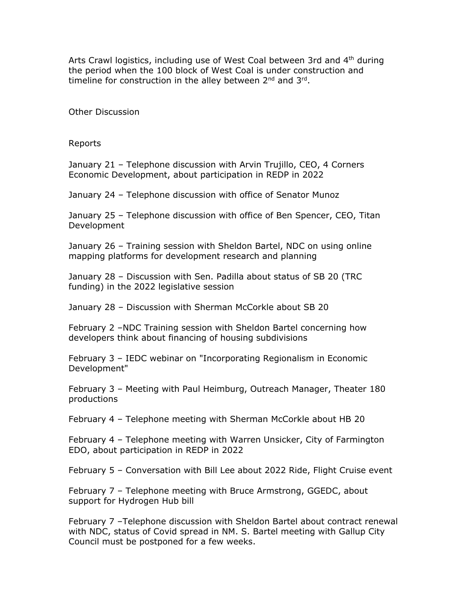Arts Crawl logistics, including use of West Coal between 3rd and 4<sup>th</sup> during the period when the 100 block of West Coal is under construction and timeline for construction in the alley between  $2^{nd}$  and  $3^{rd}$ .

Other Discussion

Reports

January 21 – Telephone discussion with Arvin Trujillo, CEO, 4 Corners Economic Development, about participation in REDP in 2022

January 24 – Telephone discussion with office of Senator Munoz

January 25 – Telephone discussion with office of Ben Spencer, CEO, Titan Development

January 26 – Training session with Sheldon Bartel, NDC on using online mapping platforms for development research and planning

January 28 – Discussion with Sen. Padilla about status of SB 20 (TRC funding) in the 2022 legislative session

January 28 – Discussion with Sherman McCorkle about SB 20

February 2 –NDC Training session with Sheldon Bartel concerning how developers think about financing of housing subdivisions

February 3 – IEDC webinar on "Incorporating Regionalism in Economic Development"

February 3 – Meeting with Paul Heimburg, Outreach Manager, Theater 180 productions

February 4 – Telephone meeting with Sherman McCorkle about HB 20

February 4 – Telephone meeting with Warren Unsicker, City of Farmington EDO, about participation in REDP in 2022

February 5 – Conversation with Bill Lee about 2022 Ride, Flight Cruise event

February 7 – Telephone meeting with Bruce Armstrong, GGEDC, about support for Hydrogen Hub bill

February 7 –Telephone discussion with Sheldon Bartel about contract renewal with NDC, status of Covid spread in NM. S. Bartel meeting with Gallup City Council must be postponed for a few weeks.